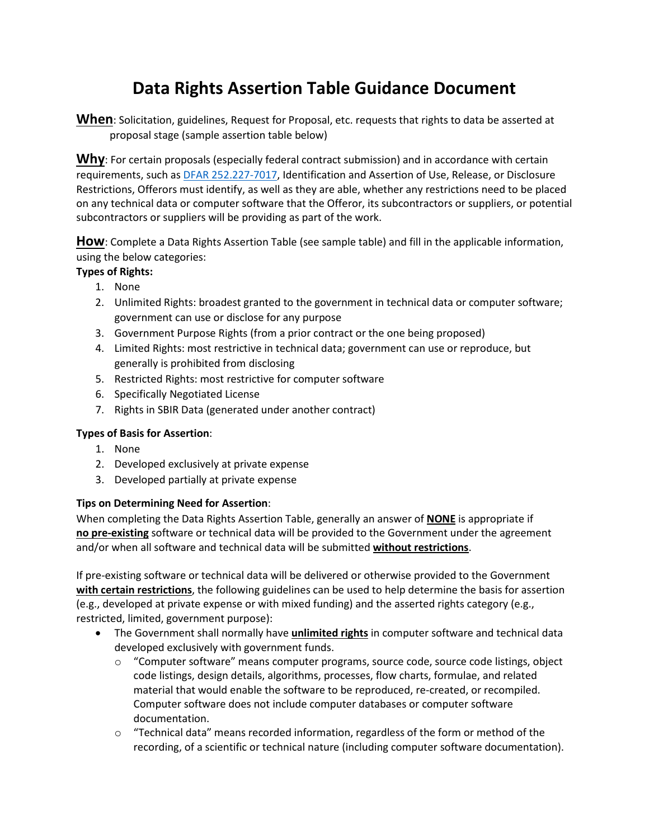# **Data Rights Assertion Table Guidance Document**

**When**: Solicitation, guidelines, Request for Proposal, etc. requests that rights to data be asserted at proposal stage (sample assertion table below)

**Why**: For certain proposals (especially federal contract submission) and in accordance with certain requirements, such as [DFAR 252.227-7017,](https://www.acquisition.gov/dfars/part-252-solicitation-provisions-and-contract-clauses#DFARS-252.227-7017) Identification and Assertion of Use, Release, or Disclosure Restrictions, Offerors must identify, as well as they are able, whether any restrictions need to be placed on any technical data or computer software that the Offeror, its subcontractors or suppliers, or potential subcontractors or suppliers will be providing as part of the work.

**How**: Complete a Data Rights Assertion Table (see sample table) and fill in the applicable information, using the below categories:

### **Types of Rights:**

- 1. None
- 2. Unlimited Rights: broadest granted to the government in technical data or computer software; government can use or disclose for any purpose
- 3. Government Purpose Rights (from a prior contract or the one being proposed)
- 4. Limited Rights: most restrictive in technical data; government can use or reproduce, but generally is prohibited from disclosing
- 5. Restricted Rights: most restrictive for computer software
- 6. Specifically Negotiated License
- 7. Rights in SBIR Data (generated under another contract)

#### **Types of Basis for Assertion**:

- 1. None
- 2. Developed exclusively at private expense
- 3. Developed partially at private expense

#### **Tips on Determining Need for Assertion**:

When completing the Data Rights Assertion Table, generally an answer of **NONE** is appropriate if **no pre-existing** software or technical data will be provided to the Government under the agreement and/or when all software and technical data will be submitted **without restrictions**.

If pre-existing software or technical data will be delivered or otherwise provided to the Government **with certain restrictions**, the following guidelines can be used to help determine the basis for assertion (e.g., developed at private expense or with mixed funding) and the asserted rights category (e.g., restricted, limited, government purpose):

- The Government shall normally have **unlimited rights** in computer software and technical data developed exclusively with government funds.
	- $\circ$  "Computer software" means computer programs, source code, source code listings, object code listings, design details, algorithms, processes, flow charts, formulae, and related material that would enable the software to be reproduced, re-created, or recompiled. Computer software does not include computer databases or computer software documentation.
	- $\circ$  "Technical data" means recorded information, regardless of the form or method of the recording, of a scientific or technical nature (including computer software documentation).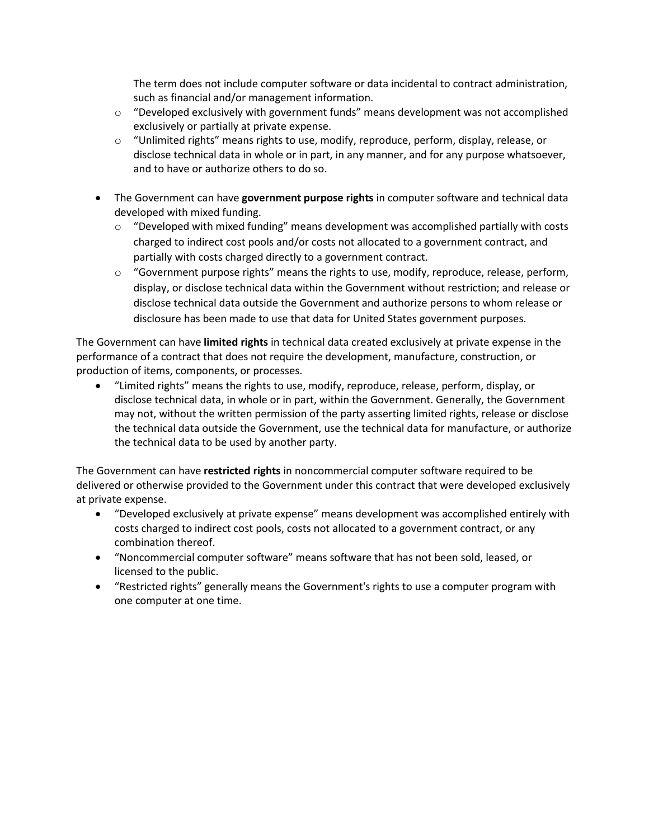The term does not include computer software or data incidental to contract administration, such as financial and/or management information.

- $\circ$  "Developed exclusively with government funds" means development was not accomplished exclusively or partially at private expense.
- $\circ$  "Unlimited rights" means rights to use, modify, reproduce, perform, display, release, or disclose technical data in whole or in part, in any manner, and for any purpose whatsoever, and to have or authorize others to do so.
- The Government can have **government purpose rights** in computer software and technical data developed with mixed funding.
	- $\circ$  "Developed with mixed funding" means development was accomplished partially with costs charged to indirect cost pools and/or costs not allocated to a government contract, and partially with costs charged directly to a government contract.
	- $\circ$  "Government purpose rights" means the rights to use, modify, reproduce, release, perform, display, or disclose technical data within the Government without restriction; and release or disclose technical data outside the Government and authorize persons to whom release or disclosure has been made to use that data for United States government purposes.

The Government can have **limited rights** in technical data created exclusively at private expense in the performance of a contract that does not require the development, manufacture, construction, or production of items, components, or processes.

• "Limited rights" means the rights to use, modify, reproduce, release, perform, display, or disclose technical data, in whole or in part, within the Government. Generally, the Government may not, without the written permission of the party asserting limited rights, release or disclose the technical data outside the Government, use the technical data for manufacture, or authorize the technical data to be used by another party.

The Government can have **restricted rights** in noncommercial computer software required to be delivered or otherwise provided to the Government under this contract that were developed exclusively at private expense.

- "Developed exclusively at private expense" means development was accomplished entirely with costs charged to indirect cost pools, costs not allocated to a government contract, or any combination thereof.
- "Noncommercial computer software" means software that has not been sold, leased, or licensed to the public.
- "Restricted rights" generally means the Government's rights to use a computer program with one computer at one time.